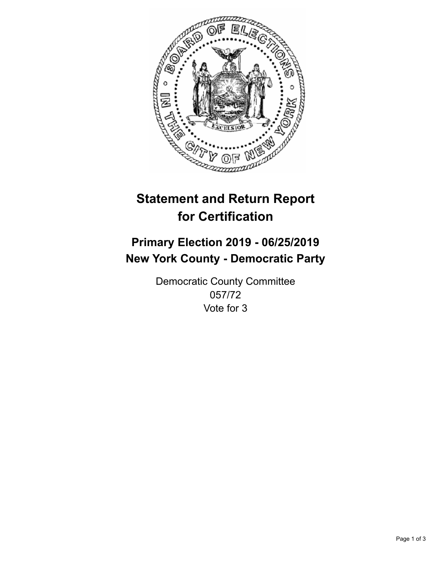

## **Statement and Return Report for Certification**

## **Primary Election 2019 - 06/25/2019 New York County - Democratic Party**

Democratic County Committee 057/72 Vote for 3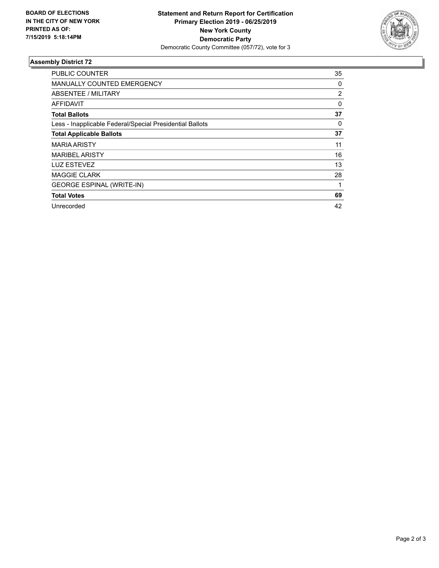

## **Assembly District 72**

| <b>PUBLIC COUNTER</b>                                    | 35 |
|----------------------------------------------------------|----|
| <b>MANUALLY COUNTED EMERGENCY</b>                        | 0  |
| ABSENTEE / MILITARY                                      | 2  |
| <b>AFFIDAVIT</b>                                         | 0  |
| <b>Total Ballots</b>                                     | 37 |
| Less - Inapplicable Federal/Special Presidential Ballots | 0  |
| <b>Total Applicable Ballots</b>                          | 37 |
| <b>MARIA ARISTY</b>                                      | 11 |
| <b>MARIBEL ARISTY</b>                                    | 16 |
| <b>LUZ ESTEVEZ</b>                                       | 13 |
| <b>MAGGIE CLARK</b>                                      | 28 |
| <b>GEORGE ESPINAL (WRITE-IN)</b>                         |    |
| <b>Total Votes</b>                                       | 69 |
| Unrecorded                                               | 42 |